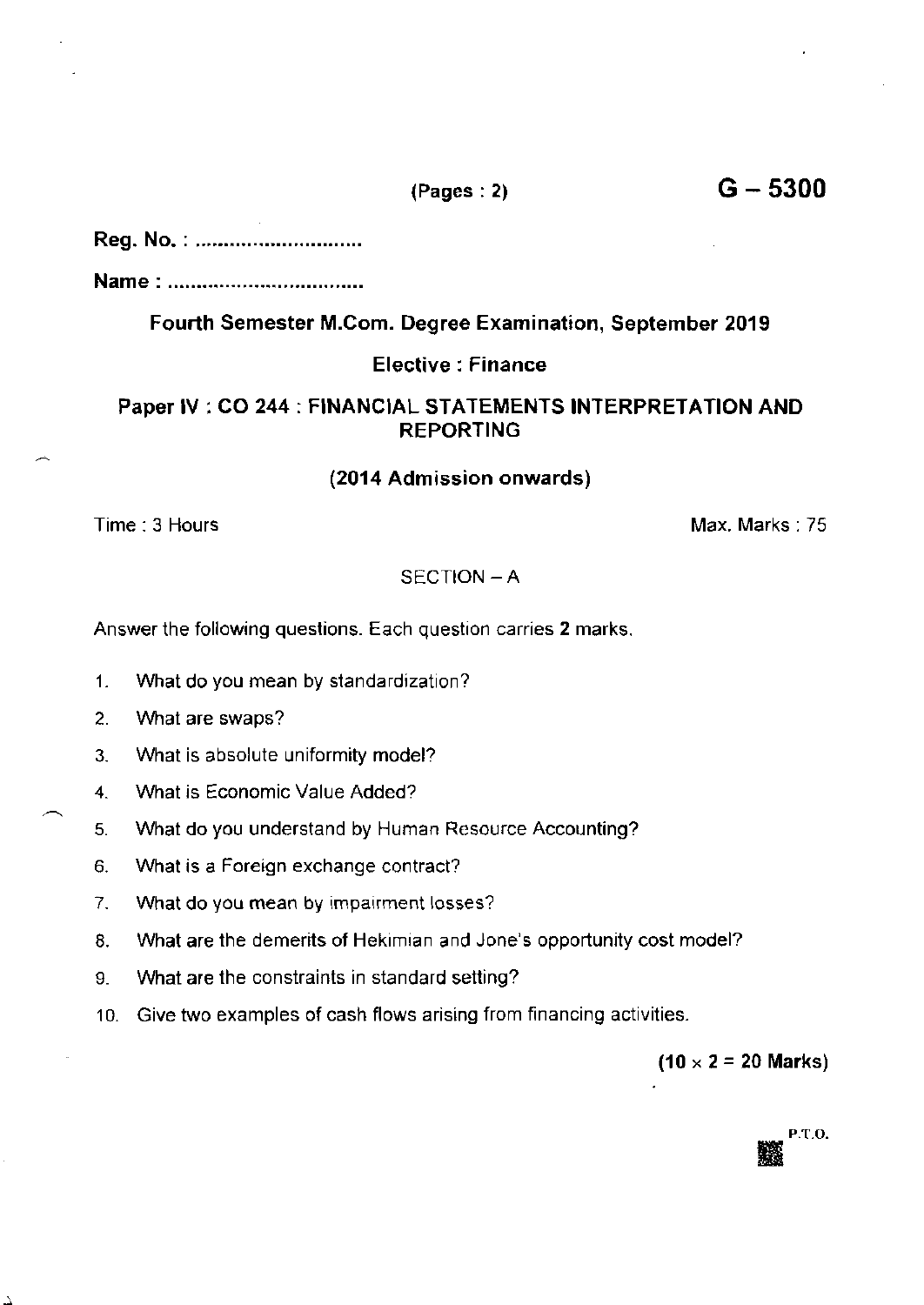## Reg. No. : ..............................

Name : ...........-...

# Fourth Semester M.Com. Degree Examination, September 2019

## Elective : Finance

## Paper IV : CO 244 : FINANCIAL STATEMENTS INTERPRETATION AND REPORTING

## (2014 Admission onwards)

Time : 3 Hours Max. Marks: 75

## SECTION - A

Answer the following questions. Each question carries 2 marks.

- 1. Vvhat do you mean by standardization?
- 2. What are swaps?
- 3. What is absolute uniformity model?
- 4. What is Economic Value Added?
- 5. What do you understand by Human Resource Accounting?
- 6. What is a Foreign exchange contract?
- 7. What do you mean by impairment losses?
- 8. What are ihe demerits of Hekimian and Jone's opportunity cost model?
- 9. What are the constraints in standard setting?
- '10. Give two examples of cash flows arising from financing activities.

 $(10 \times 2 = 20$  Marks)



 $(Pages:2)$   $G-5300$